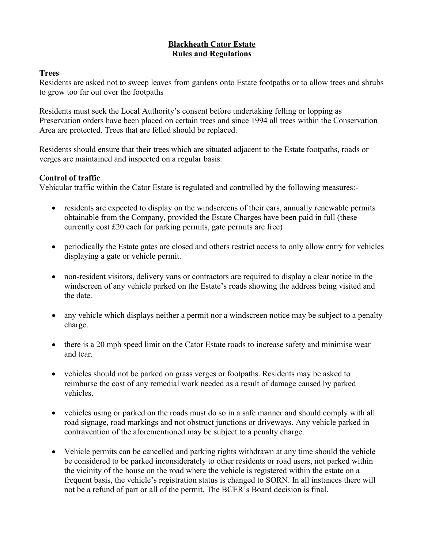#### **Blackheath Cator Estate Rules and Regulations**

#### **Trees**

Residents are asked not to sweep leaves from gardens onto Estate footpaths or to allow trees and shrubs to grow too far out over the footpaths

Residents must seek the Local Authority's consent before undertaking felling or lopping as Preservation orders have been placed on certain trees and since 1994 all trees within the Conservation Area are protected. Trees that are felled should be replaced.

Residents should ensure that their trees which are situated adjacent to the Estate footpaths, roads or verges are maintained and inspected on a regular basis.

#### **Control of traffic**

Vehicular traffic within the Cator Estate is regulated and controlled by the following measures:-

- residents are expected to display on the windscreens of their cars, annually renewable permits obtainable from the Company, provided the Estate Charges have been paid in full (these currently cost £20 each for parking permits, gate permits are free)
- periodically the Estate gates are closed and others restrict access to only allow entry for vehicles displaying a gate or vehicle permit.
- non-resident visitors, delivery vans or contractors are required to display a clear notice in the windscreen of any vehicle parked on the Estate's roads showing the address being visited and the date.
- any vehicle which displays neither a permit nor a windscreen notice may be subject to a penalty charge.
- there is a 20 mph speed limit on the Cator Estate roads to increase safety and minimise wear and tear.
- vehicles should not be parked on grass verges or footpaths. Residents may be asked to reimburse the cost of any remedial work needed as a result of damage caused by parked vehicles.
- vehicles using or parked on the roads must do so in a safe manner and should comply with all road signage, road markings and not obstruct junctions or driveways. Any vehicle parked in contravention of the aforementioned may be subject to a penalty charge.
- Vehicle permits can be cancelled and parking rights withdrawn at any time should the vehicle be considered to be parked inconsiderately to other residents or road users, not parked within the vicinity of the house on the road where the vehicle is registered within the estate on a frequent basis, the vehicle's registration status is changed to SORN. In all instances there will not be a refund of part or all of the permit. The BCER's Board decision is final.